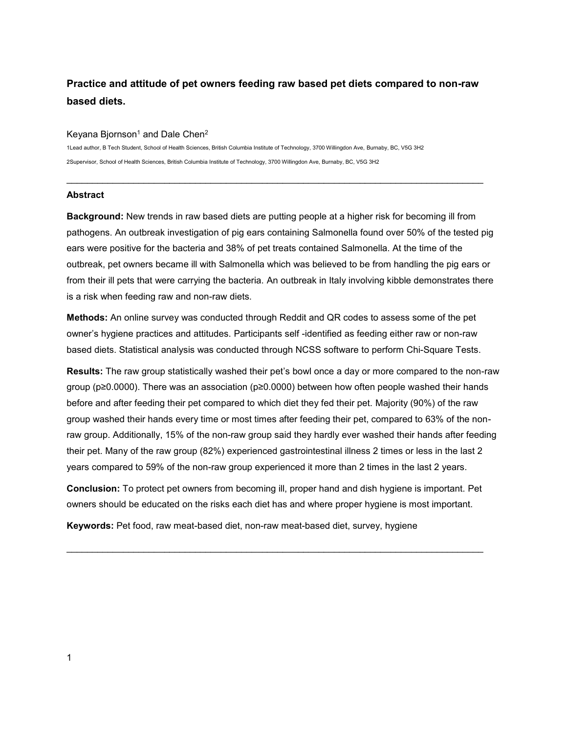# **Practice and attitude of pet owners feeding raw based pet diets compared to non-raw based diets.**

 $\mathcal{L}_\text{max}$  and  $\mathcal{L}_\text{max}$  and  $\mathcal{L}_\text{max}$  and  $\mathcal{L}_\text{max}$  and  $\mathcal{L}_\text{max}$  and  $\mathcal{L}_\text{max}$ 

#### Keyana Bjornson<sup>1</sup> and Dale Chen<sup>2</sup>

1Lead author, B Tech Student, School of Health Sciences, British Columbia Institute of Technology, 3700 Willingdon Ave, Burnaby, BC, V5G 3H2 2Supervisor, School of Health Sciences, British Columbia Institute of Technology, 3700 Willingdon Ave, Burnaby, BC, V5G 3H2

#### **Abstract**

**Background:** New trends in raw based diets are putting people at a higher risk for becoming ill from pathogens. An outbreak investigation of pig ears containing Salmonella found over 50% of the tested pig ears were positive for the bacteria and 38% of pet treats contained Salmonella. At the time of the outbreak, pet owners became ill with Salmonella which was believed to be from handling the pig ears or from their ill pets that were carrying the bacteria. An outbreak in Italy involving kibble demonstrates there is a risk when feeding raw and non-raw diets.

**Methods:** An online survey was conducted through Reddit and QR codes to assess some of the pet owner's hygiene practices and attitudes. Participants self -identified as feeding either raw or non-raw based diets. Statistical analysis was conducted through NCSS software to perform Chi-Square Tests.

**Results:** The raw group statistically washed their pet's bowl once a day or more compared to the non-raw group (p≥0.0000). There was an association (p≥0.0000) between how often people washed their hands before and after feeding their pet compared to which diet they fed their pet. Majority (90%) of the raw group washed their hands every time or most times after feeding their pet, compared to 63% of the nonraw group. Additionally, 15% of the non-raw group said they hardly ever washed their hands after feeding their pet. Many of the raw group (82%) experienced gastrointestinal illness 2 times or less in the last 2 years compared to 59% of the non-raw group experienced it more than 2 times in the last 2 years.

**Conclusion:** To protect pet owners from becoming ill, proper hand and dish hygiene is important. Pet owners should be educated on the risks each diet has and where proper hygiene is most important.

**Keywords:** Pet food, raw meat-based diet, non-raw meat-based diet, survey, hygiene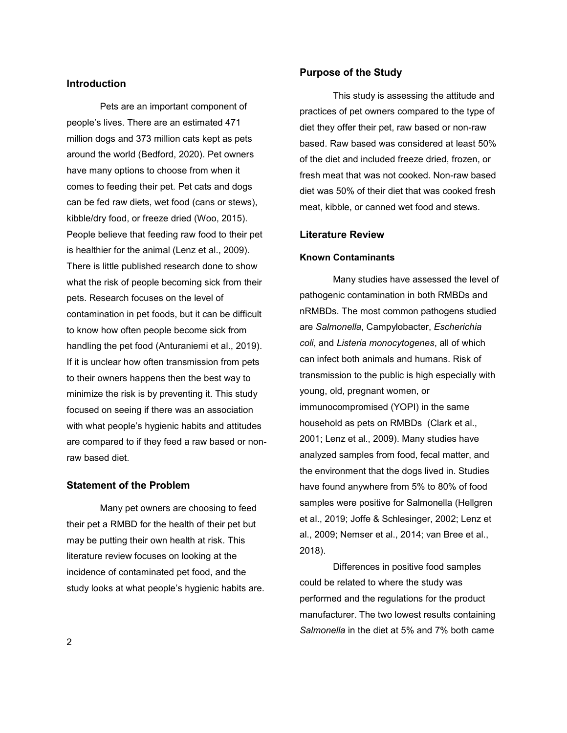# **Introduction**

Pets are an important component of people's lives. There are an estimated 471 million dogs and 373 million cats kept as pets around the world (Bedford, 2020). Pet owners have many options to choose from when it comes to feeding their pet. Pet cats and dogs can be fed raw diets, wet food (cans or stews), kibble/dry food, or freeze dried (Woo, 2015). People believe that feeding raw food to their pet is healthier for the animal (Lenz et al., 2009). There is little published research done to show what the risk of people becoming sick from their pets. Research focuses on the level of contamination in pet foods, but it can be difficult to know how often people become sick from handling the pet food (Anturaniemi et al., 2019). If it is unclear how often transmission from pets to their owners happens then the best way to minimize the risk is by preventing it. This study focused on seeing if there was an association with what people's hygienic habits and attitudes are compared to if they feed a raw based or nonraw based diet.

## **Statement of the Problem**

Many pet owners are choosing to feed their pet a RMBD for the health of their pet but may be putting their own health at risk. This literature review focuses on looking at the incidence of contaminated pet food, and the study looks at what people's hygienic habits are.

### **Purpose of the Study**

This study is assessing the attitude and practices of pet owners compared to the type of diet they offer their pet, raw based or non-raw based. Raw based was considered at least 50% of the diet and included freeze dried, frozen, or fresh meat that was not cooked. Non-raw based diet was 50% of their diet that was cooked fresh meat, kibble, or canned wet food and stews.

#### **Literature Review**

#### **Known Contaminants**

Many studies have assessed the level of pathogenic contamination in both RMBDs and nRMBDs. The most common pathogens studied are *Salmonella*, Campylobacter, *Escherichia coli*, and *Listeria monocytogenes*, all of which can infect both animals and humans. Risk of transmission to the public is high especially with young, old, pregnant women, or immunocompromised (YOPI) in the same household as pets on RMBDs (Clark et al., 2001; Lenz et al., 2009). Many studies have analyzed samples from food, fecal matter, and the environment that the dogs lived in. Studies have found anywhere from 5% to 80% of food samples were positive for Salmonella (Hellgren et al., 2019; Joffe & Schlesinger, 2002; Lenz et al., 2009; Nemser et al., 2014; van Bree et al., 2018).

Differences in positive food samples could be related to where the study was performed and the regulations for the product manufacturer. The two lowest results containing *Salmonella* in the diet at 5% and 7% both came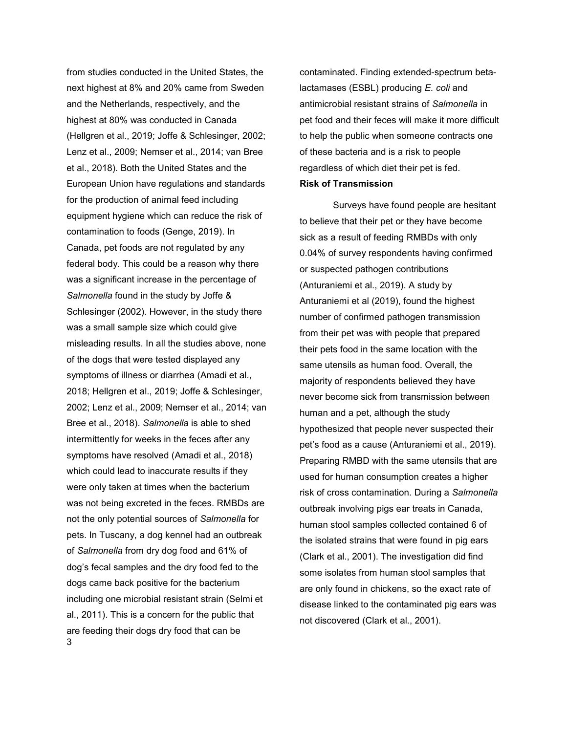3 from studies conducted in the United States, the next highest at 8% and 20% came from Sweden and the Netherlands, respectively, and the highest at 80% was conducted in Canada (Hellgren et al., 2019; Joffe & Schlesinger, 2002; Lenz et al., 2009; Nemser et al., 2014; van Bree et al., 2018). Both the United States and the European Union have regulations and standards for the production of animal feed including equipment hygiene which can reduce the risk of contamination to foods (Genge, 2019). In Canada, pet foods are not regulated by any federal body. This could be a reason why there was a significant increase in the percentage of *Salmonella* found in the study by Joffe & Schlesinger (2002). However, in the study there was a small sample size which could give misleading results. In all the studies above, none of the dogs that were tested displayed any symptoms of illness or diarrhea (Amadi et al., 2018; Hellgren et al., 2019; Joffe & Schlesinger, 2002; Lenz et al., 2009; Nemser et al., 2014; van Bree et al., 2018). *Salmonella* is able to shed intermittently for weeks in the feces after any symptoms have resolved (Amadi et al., 2018) which could lead to inaccurate results if they were only taken at times when the bacterium was not being excreted in the feces. RMBDs are not the only potential sources of *Salmonella* for pets. In Tuscany, a dog kennel had an outbreak of *Salmonella* from dry dog food and 61% of dog's fecal samples and the dry food fed to the dogs came back positive for the bacterium including one microbial resistant strain (Selmi et al., 2011). This is a concern for the public that are feeding their dogs dry food that can be

contaminated. Finding extended-spectrum betalactamases (ESBL) producing *E. coli* and antimicrobial resistant strains of *Salmonella* in pet food and their feces will make it more difficult to help the public when someone contracts one of these bacteria and is a risk to people regardless of which diet their pet is fed. **Risk of Transmission**

Surveys have found people are hesitant to believe that their pet or they have become sick as a result of feeding RMBDs with only 0.04% of survey respondents having confirmed or suspected pathogen contributions (Anturaniemi et al., 2019). A study by Anturaniemi et al (2019), found the highest number of confirmed pathogen transmission from their pet was with people that prepared their pets food in the same location with the same utensils as human food. Overall, the majority of respondents believed they have never become sick from transmission between human and a pet, although the study hypothesized that people never suspected their pet's food as a cause (Anturaniemi et al., 2019). Preparing RMBD with the same utensils that are used for human consumption creates a higher risk of cross contamination. During a *Salmonella* outbreak involving pigs ear treats in Canada, human stool samples collected contained 6 of the isolated strains that were found in pig ears (Clark et al., 2001). The investigation did find some isolates from human stool samples that are only found in chickens, so the exact rate of disease linked to the contaminated pig ears was not discovered (Clark et al., 2001).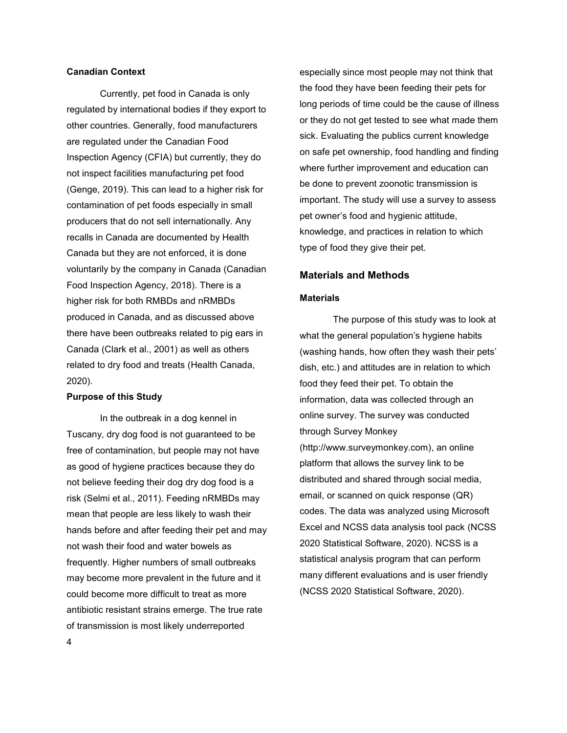# **Canadian Context**

Currently, pet food in Canada is only regulated by international bodies if they export to other countries. Generally, food manufacturers are regulated under the Canadian Food Inspection Agency (CFIA) but currently, they do not inspect facilities manufacturing pet food (Genge, 2019). This can lead to a higher risk for contamination of pet foods especially in small producers that do not sell internationally. Any recalls in Canada are documented by Health Canada but they are not enforced, it is done voluntarily by the company in Canada (Canadian Food Inspection Agency, 2018). There is a higher risk for both RMBDs and nRMBDs produced in Canada, and as discussed above there have been outbreaks related to pig ears in Canada (Clark et al., 2001) as well as others related to dry food and treats (Health Canada, 2020).

### **Purpose of this Study**

4 In the outbreak in a dog kennel in Tuscany, dry dog food is not guaranteed to be free of contamination, but people may not have as good of hygiene practices because they do not believe feeding their dog dry dog food is a risk (Selmi et al., 2011). Feeding nRMBDs may mean that people are less likely to wash their hands before and after feeding their pet and may not wash their food and water bowels as frequently. Higher numbers of small outbreaks may become more prevalent in the future and it could become more difficult to treat as more antibiotic resistant strains emerge. The true rate of transmission is most likely underreported

especially since most people may not think that the food they have been feeding their pets for long periods of time could be the cause of illness or they do not get tested to see what made them sick. Evaluating the publics current knowledge on safe pet ownership, food handling and finding where further improvement and education can be done to prevent zoonotic transmission is important. The study will use a survey to assess pet owner's food and hygienic attitude, knowledge, and practices in relation to which type of food they give their pet.

### **Materials and Methods**

#### **Materials**

The purpose of this study was to look at what the general population's hygiene habits (washing hands, how often they wash their pets' dish, etc.) and attitudes are in relation to which food they feed their pet. To obtain the information, data was collected through an online survey. The survey was conducted through Survey Monkey (http://www.surveymonkey.com), an online platform that allows the survey link to be distributed and shared through social media, email, or scanned on quick response (QR) codes. The data was analyzed using Microsoft Excel and NCSS data analysis tool pack (NCSS 2020 Statistical Software, 2020). NCSS is a statistical analysis program that can perform many different evaluations and is user friendly (NCSS 2020 Statistical Software, 2020).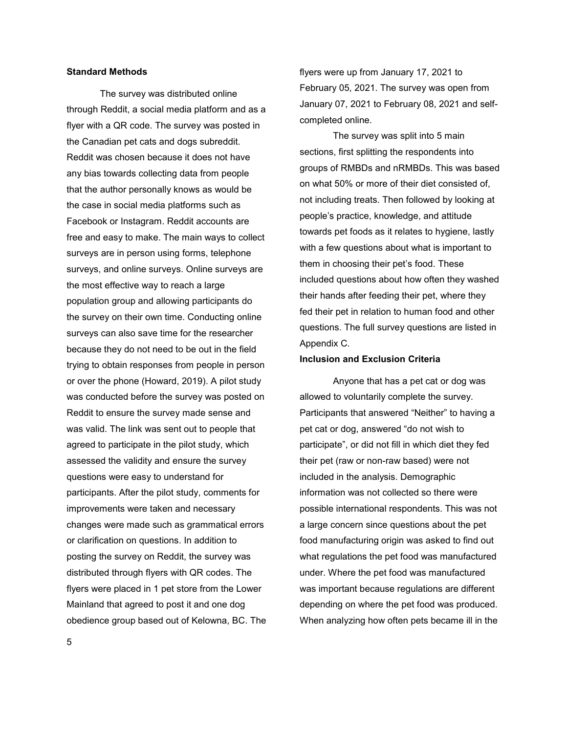# **Standard Methods**

The survey was distributed online through Reddit, a social media platform and as a flyer with a QR code. The survey was posted in the Canadian pet cats and dogs subreddit. Reddit was chosen because it does not have any bias towards collecting data from people that the author personally knows as would be the case in social media platforms such as Facebook or Instagram. Reddit accounts are free and easy to make. The main ways to collect surveys are in person using forms, telephone surveys, and online surveys. Online surveys are the most effective way to reach a large population group and allowing participants do the survey on their own time. Conducting online surveys can also save time for the researcher because they do not need to be out in the field trying to obtain responses from people in person or over the phone (Howard, 2019). A pilot study was conducted before the survey was posted on Reddit to ensure the survey made sense and was valid. The link was sent out to people that agreed to participate in the pilot study, which assessed the validity and ensure the survey questions were easy to understand for participants. After the pilot study, comments for improvements were taken and necessary changes were made such as grammatical errors or clarification on questions. In addition to posting the survey on Reddit, the survey was distributed through flyers with QR codes. The flyers were placed in 1 pet store from the Lower Mainland that agreed to post it and one dog obedience group based out of Kelowna, BC. The flyers were up from January 17, 2021 to February 05, 2021. The survey was open from January 07, 2021 to February 08, 2021 and selfcompleted online.

The survey was split into 5 main sections, first splitting the respondents into groups of RMBDs and nRMBDs. This was based on what 50% or more of their diet consisted of, not including treats. Then followed by looking at people's practice, knowledge, and attitude towards pet foods as it relates to hygiene, lastly with a few questions about what is important to them in choosing their pet's food. These included questions about how often they washed their hands after feeding their pet, where they fed their pet in relation to human food and other questions. The full survey questions are listed in Appendix C.

#### **Inclusion and Exclusion Criteria**

Anyone that has a pet cat or dog was allowed to voluntarily complete the survey. Participants that answered "Neither" to having a pet cat or dog, answered "do not wish to participate", or did not fill in which diet they fed their pet (raw or non-raw based) were not included in the analysis. Demographic information was not collected so there were possible international respondents. This was not a large concern since questions about the pet food manufacturing origin was asked to find out what regulations the pet food was manufactured under. Where the pet food was manufactured was important because regulations are different depending on where the pet food was produced. When analyzing how often pets became ill in the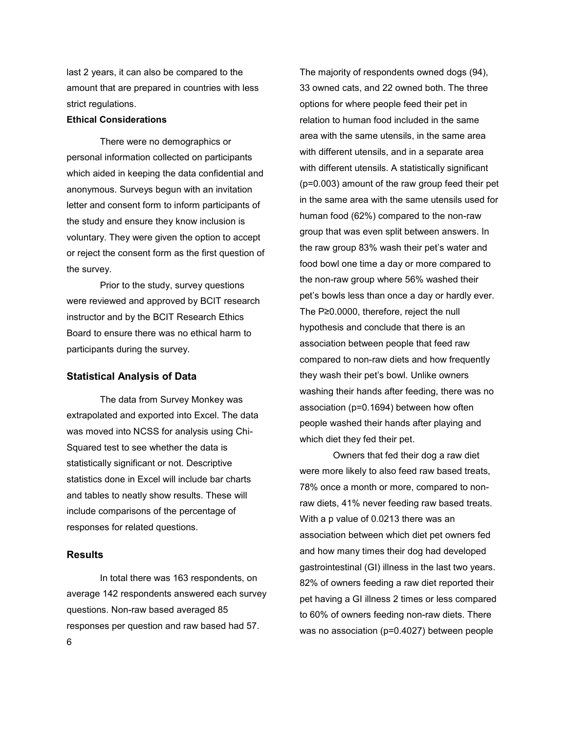last 2 years, it can also be compared to the amount that are prepared in countries with less strict regulations.

## **Ethical Considerations**

There were no demographics or personal information collected on participants which aided in keeping the data confidential and anonymous. Surveys begun with an invitation letter and consent form to inform participants of the study and ensure they know inclusion is voluntary. They were given the option to accept or reject the consent form as the first question of the survey.

Prior to the study, survey questions were reviewed and approved by BCIT research instructor and by the BCIT Research Ethics Board to ensure there was no ethical harm to participants during the survey.

#### **Statistical Analysis of Data**

The data from Survey Monkey was extrapolated and exported into Excel. The data was moved into NCSS for analysis using Chi-Squared test to see whether the data is statistically significant or not. Descriptive statistics done in Excel will include bar charts and tables to neatly show results. These will include comparisons of the percentage of responses for related questions.

# **Results**

6 In total there was 163 respondents, on average 142 respondents answered each survey questions. Non-raw based averaged 85 responses per question and raw based had 57.

The majority of respondents owned dogs (94), 33 owned cats, and 22 owned both. The three options for where people feed their pet in relation to human food included in the same area with the same utensils, in the same area with different utensils, and in a separate area with different utensils. A statistically significant (p=0.003) amount of the raw group feed their pet in the same area with the same utensils used for human food (62%) compared to the non-raw group that was even split between answers. In the raw group 83% wash their pet's water and food bowl one time a day or more compared to the non-raw group where 56% washed their pet's bowls less than once a day or hardly ever. The P≥0.0000, therefore, reject the null hypothesis and conclude that there is an association between people that feed raw compared to non-raw diets and how frequently they wash their pet's bowl. Unlike owners washing their hands after feeding, there was no association (p=0.1694) between how often people washed their hands after playing and which diet they fed their pet.

Owners that fed their dog a raw diet were more likely to also feed raw based treats, 78% once a month or more, compared to nonraw diets, 41% never feeding raw based treats. With a p value of 0.0213 there was an association between which diet pet owners fed and how many times their dog had developed gastrointestinal (GI) illness in the last two years. 82% of owners feeding a raw diet reported their pet having a GI illness 2 times or less compared to 60% of owners feeding non-raw diets. There was no association (p=0.4027) between people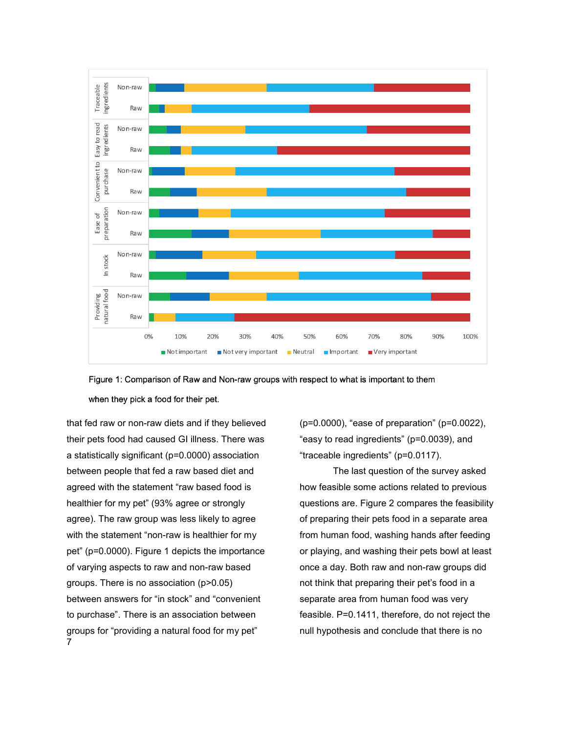

Figure 1: Comparison of Raw and Non-raw groups with respect to what is important to them when they pick a food for their pet.

7 that fed raw or non-raw diets and if they believed their pets food had caused GI illness. There was a statistically significant (p=0.0000) association between people that fed a raw based diet and agreed with the statement "raw based food is healthier for my pet" (93% agree or strongly agree). The raw group was less likely to agree with the statement "non-raw is healthier for my pet" (p=0.0000). Figure 1 depicts the importance of varying aspects to raw and non-raw based groups. There is no association (p>0.05) between answers for "in stock" and "convenient to purchase". There is an association between groups for "providing a natural food for my pet"

(p=0.0000), "ease of preparation" (p=0.0022), "easy to read ingredients" (p=0.0039), and "traceable ingredients" (p=0.0117).

The last question of the survey asked how feasible some actions related to previous questions are. Figure 2 compares the feasibility of preparing their pets food in a separate area from human food, washing hands after feeding or playing, and washing their pets bowl at least once a day. Both raw and non-raw groups did not think that preparing their pet's food in a separate area from human food was very feasible. P=0.1411, therefore, do not reject the null hypothesis and conclude that there is no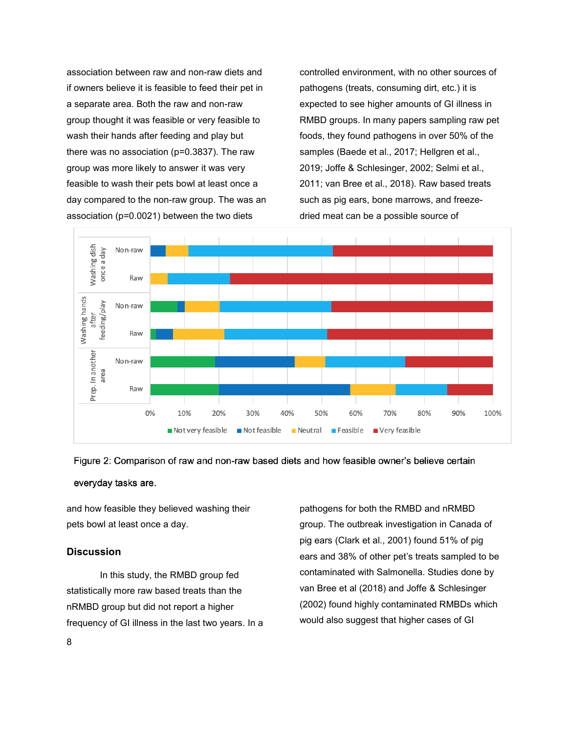association between raw and non-raw diets and if owners believe it is feasible to feed their pet in a separate area. Both the raw and non-raw group thought it was feasible or very feasible to wash their hands after feeding and play but there was no association (p=0.3837). The raw group was more likely to answer it was very feasible to wash their pets bowl at least once a day compared to the non-raw group. The was an association (p=0.0021) between the two diets

controlled environment, with no other sources of pathogens (treats, consuming dirt, etc.) it is expected to see higher amounts of GI illness in RMBD groups. In many papers sampling raw pet foods, they found pathogens in over 50% of the samples (Baede et al., 2017; Hellgren et al., 2019; Joffe & Schlesinger, 2002; Selmi et al., 2011; van Bree et al., 2018). Raw based treats such as pig ears, bone marrows, and freezedried meat can be a possible source of





everyday tasks are.

and how feasible they believed washing their pets bowl at least once a day.

# **Discussion**

In this study, the RMBD group fed statistically more raw based treats than the nRMBD group but did not report a higher frequency of GI illness in the last two years. In a

pathogens for both the RMBD and nRMBD group. The outbreak investigation in Canada of pig ears (Clark et al., 2001) found 51% of pig ears and 38% of other pet's treats sampled to be contaminated with Salmonella. Studies done by van Bree et al (2018) and Joffe & Schlesinger (2002) found highly contaminated RMBDs which would also suggest that higher cases of GI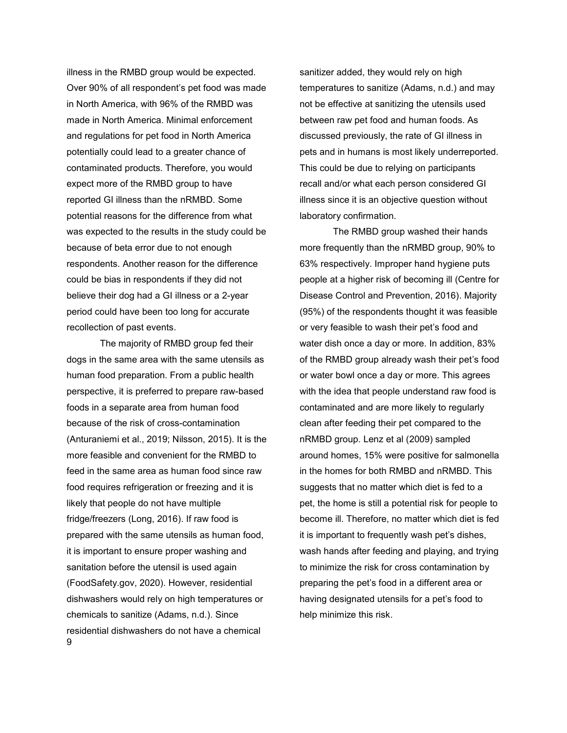illness in the RMBD group would be expected. Over 90% of all respondent's pet food was made in North America, with 96% of the RMBD was made in North America. Minimal enforcement and regulations for pet food in North America potentially could lead to a greater chance of contaminated products. Therefore, you would expect more of the RMBD group to have reported GI illness than the nRMBD. Some potential reasons for the difference from what was expected to the results in the study could be because of beta error due to not enough respondents. Another reason for the difference could be bias in respondents if they did not believe their dog had a GI illness or a 2-year period could have been too long for accurate recollection of past events.

9 The majority of RMBD group fed their dogs in the same area with the same utensils as human food preparation. From a public health perspective, it is preferred to prepare raw-based foods in a separate area from human food because of the risk of cross-contamination (Anturaniemi et al., 2019; Nilsson, 2015). It is the more feasible and convenient for the RMBD to feed in the same area as human food since raw food requires refrigeration or freezing and it is likely that people do not have multiple fridge/freezers (Long, 2016). If raw food is prepared with the same utensils as human food, it is important to ensure proper washing and sanitation before the utensil is used again (FoodSafety.gov, 2020). However, residential dishwashers would rely on high temperatures or chemicals to sanitize (Adams, n.d.). Since residential dishwashers do not have a chemical

sanitizer added, they would rely on high temperatures to sanitize (Adams, n.d.) and may not be effective at sanitizing the utensils used between raw pet food and human foods. As discussed previously, the rate of GI illness in pets and in humans is most likely underreported. This could be due to relying on participants recall and/or what each person considered GI illness since it is an objective question without laboratory confirmation.

The RMBD group washed their hands more frequently than the nRMBD group, 90% to 63% respectively. Improper hand hygiene puts people at a higher risk of becoming ill (Centre for Disease Control and Prevention, 2016). Majority (95%) of the respondents thought it was feasible or very feasible to wash their pet's food and water dish once a day or more. In addition, 83% of the RMBD group already wash their pet's food or water bowl once a day or more. This agrees with the idea that people understand raw food is contaminated and are more likely to regularly clean after feeding their pet compared to the nRMBD group. Lenz et al (2009) sampled around homes, 15% were positive for salmonella in the homes for both RMBD and nRMBD. This suggests that no matter which diet is fed to a pet, the home is still a potential risk for people to become ill. Therefore, no matter which diet is fed it is important to frequently wash pet's dishes, wash hands after feeding and playing, and trying to minimize the risk for cross contamination by preparing the pet's food in a different area or having designated utensils for a pet's food to help minimize this risk.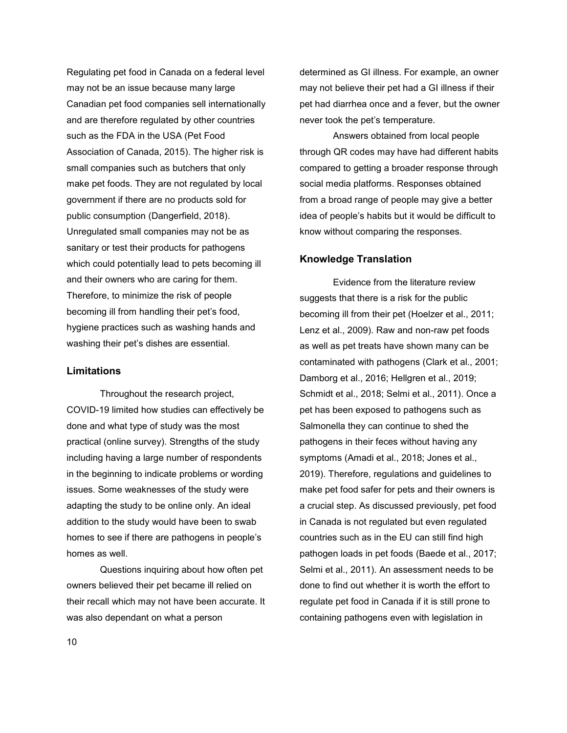Regulating pet food in Canada on a federal level may not be an issue because many large Canadian pet food companies sell internationally and are therefore regulated by other countries such as the FDA in the USA (Pet Food Association of Canada, 2015). The higher risk is small companies such as butchers that only make pet foods. They are not regulated by local government if there are no products sold for public consumption (Dangerfield, 2018). Unregulated small companies may not be as sanitary or test their products for pathogens which could potentially lead to pets becoming ill and their owners who are caring for them. Therefore, to minimize the risk of people becoming ill from handling their pet's food, hygiene practices such as washing hands and washing their pet's dishes are essential.

## **Limitations**

Throughout the research project, COVID-19 limited how studies can effectively be done and what type of study was the most practical (online survey). Strengths of the study including having a large number of respondents in the beginning to indicate problems or wording issues. Some weaknesses of the study were adapting the study to be online only. An ideal addition to the study would have been to swab homes to see if there are pathogens in people's homes as well.

Questions inquiring about how often pet owners believed their pet became ill relied on their recall which may not have been accurate. It was also dependant on what a person

determined as GI illness. For example, an owner may not believe their pet had a GI illness if their pet had diarrhea once and a fever, but the owner never took the pet's temperature.

Answers obtained from local people through QR codes may have had different habits compared to getting a broader response through social media platforms. Responses obtained from a broad range of people may give a better idea of people's habits but it would be difficult to know without comparing the responses.

# **Knowledge Translation**

Evidence from the literature review suggests that there is a risk for the public becoming ill from their pet (Hoelzer et al., 2011; Lenz et al., 2009). Raw and non-raw pet foods as well as pet treats have shown many can be contaminated with pathogens (Clark et al., 2001; Damborg et al., 2016; Hellgren et al., 2019; Schmidt et al., 2018; Selmi et al., 2011). Once a pet has been exposed to pathogens such as Salmonella they can continue to shed the pathogens in their feces without having any symptoms (Amadi et al., 2018; Jones et al., 2019). Therefore, regulations and guidelines to make pet food safer for pets and their owners is a crucial step. As discussed previously, pet food in Canada is not regulated but even regulated countries such as in the EU can still find high pathogen loads in pet foods (Baede et al., 2017; Selmi et al., 2011). An assessment needs to be done to find out whether it is worth the effort to regulate pet food in Canada if it is still prone to containing pathogens even with legislation in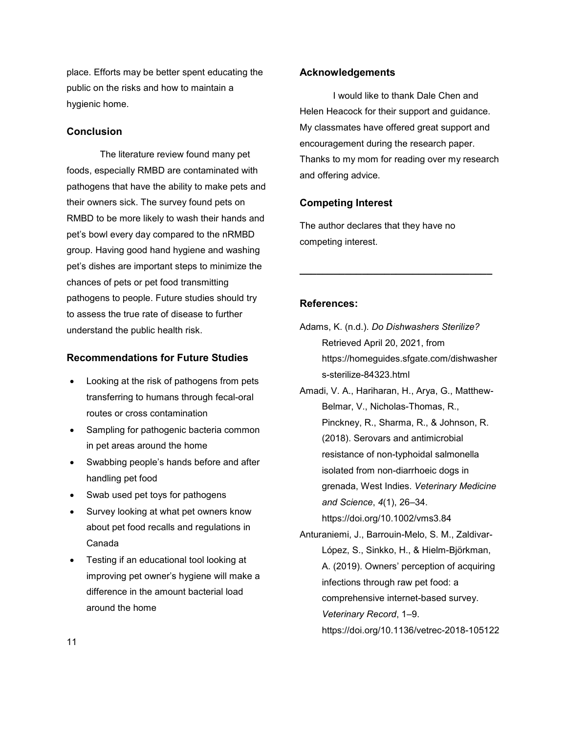place. Efforts may be better spent educating the public on the risks and how to maintain a hygienic home.

# **Conclusion**

The literature review found many pet foods, especially RMBD are contaminated with pathogens that have the ability to make pets and their owners sick. The survey found pets on RMBD to be more likely to wash their hands and pet's bowl every day compared to the nRMBD group. Having good hand hygiene and washing pet's dishes are important steps to minimize the chances of pets or pet food transmitting pathogens to people. Future studies should try to assess the true rate of disease to further understand the public health risk.

# **Recommendations for Future Studies**

- Looking at the risk of pathogens from pets transferring to humans through fecal-oral routes or cross contamination
- Sampling for pathogenic bacteria common in pet areas around the home
- Swabbing people's hands before and after handling pet food
- Swab used pet toys for pathogens
- Survey looking at what pet owners know about pet food recalls and regulations in Canada
- Testing if an educational tool looking at improving pet owner's hygiene will make a difference in the amount bacterial load around the home

### **Acknowledgements**

I would like to thank Dale Chen and Helen Heacock for their support and guidance. My classmates have offered great support and encouragement during the research paper. Thanks to my mom for reading over my research and offering advice.

## **Competing Interest**

The author declares that they have no competing interest.

# **References:**

Adams, K. (n.d.). *Do Dishwashers Sterilize?* Retrieved April 20, 2021, from https://homeguides.sfgate.com/dishwasher s-sterilize-84323.html

**\_\_\_\_\_\_\_\_\_\_\_\_\_\_\_\_\_\_\_\_\_\_\_\_\_\_\_\_\_\_\_\_\_\_**

- Amadi, V. A., Hariharan, H., Arya, G., Matthew-Belmar, V., Nicholas-Thomas, R., Pinckney, R., Sharma, R., & Johnson, R. (2018). Serovars and antimicrobial resistance of non-typhoidal salmonella isolated from non-diarrhoeic dogs in grenada, West Indies. *Veterinary Medicine and Science*, *4*(1), 26–34. https://doi.org/10.1002/vms3.84
- Anturaniemi, J., Barrouin-Melo, S. M., Zaldivar-López, S., Sinkko, H., & Hielm-Björkman, A. (2019). Owners' perception of acquiring infections through raw pet food: a comprehensive internet-based survey. *Veterinary Record*, 1–9. https://doi.org/10.1136/vetrec-2018-105122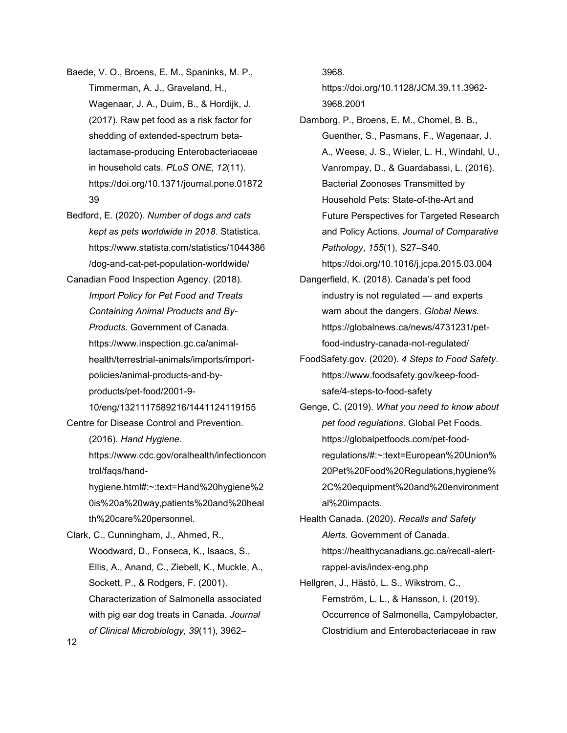Baede, V. O., Broens, E. M., Spaninks, M. P., Timmerman, A. J., Graveland, H., Wagenaar, J. A., Duim, B., & Hordijk, J. (2017). Raw pet food as a risk factor for shedding of extended-spectrum betalactamase-producing Enterobacteriaceae in household cats. *PLoS ONE*, *12*(11). https://doi.org/10.1371/journal.pone.01872 39

- Bedford, E. (2020). *Number of dogs and cats kept as pets worldwide in 2018*. Statistica. https://www.statista.com/statistics/1044386 /dog-and-cat-pet-population-worldwide/
- Canadian Food Inspection Agency. (2018). *Import Policy for Pet Food and Treats Containing Animal Products and By-Products*. Government of Canada. https://www.inspection.gc.ca/animalhealth/terrestrial-animals/imports/importpolicies/animal-products-and-byproducts/pet-food/2001-9-

10/eng/1321117589216/1441124119155 Centre for Disease Control and Prevention.

(2016). *Hand Hygiene*.

https://www.cdc.gov/oralhealth/infectioncon trol/faqs/hand-

hygiene.html#:~:text=Hand%20hygiene%2 0is%20a%20way,patients%20and%20heal th%20care%20personnel.

Clark, C., Cunningham, J., Ahmed, R., Woodward, D., Fonseca, K., Isaacs, S., Ellis, A., Anand, C., Ziebell, K., Muckle, A., Sockett, P., & Rodgers, F. (2001). Characterization of Salmonella associated with pig ear dog treats in Canada. *Journal of Clinical Microbiology*, *39*(11), 3962–

3968.

https://doi.org/10.1128/JCM.39.11.3962- 3968.2001

Damborg, P., Broens, E. M., Chomel, B. B., Guenther, S., Pasmans, F., Wagenaar, J. A., Weese, J. S., Wieler, L. H., Windahl, U., Vanrompay, D., & Guardabassi, L. (2016). Bacterial Zoonoses Transmitted by Household Pets: State-of-the-Art and Future Perspectives for Targeted Research and Policy Actions. *Journal of Comparative Pathology*, *155*(1), S27–S40.

https://doi.org/10.1016/j.jcpa.2015.03.004

- Dangerfield, K. (2018). Canada's pet food industry is not regulated — and experts warn about the dangers. *Global News*. https://globalnews.ca/news/4731231/petfood-industry-canada-not-regulated/
- FoodSafety.gov. (2020). *4 Steps to Food Safety*. https://www.foodsafety.gov/keep-foodsafe/4-steps-to-food-safety
- Genge, C. (2019). *What you need to know about pet food regulations*. Global Pet Foods. https://globalpetfoods.com/pet-foodregulations/#:~:text=European%20Union% 20Pet%20Food%20Regulations,hygiene% 2C%20equipment%20and%20environment al%20impacts.
- Health Canada. (2020). *Recalls and Safety Alerts*. Government of Canada. https://healthycanadians.gc.ca/recall-alertrappel-avis/index-eng.php

Hellgren, J., Hästö, L. S., Wikstrom, C., Fernström, L. L., & Hansson, I. (2019). Occurrence of Salmonella, Campylobacter, Clostridium and Enterobacteriaceae in raw

12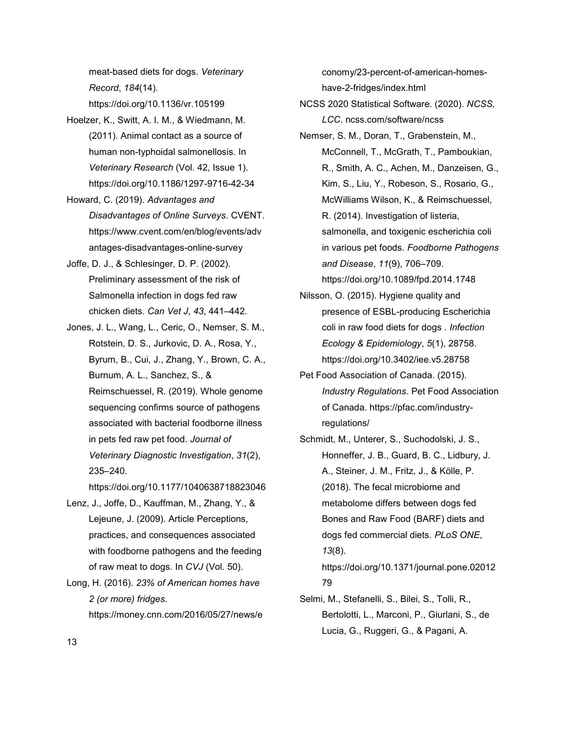meat-based diets for dogs. *Veterinary Record*, *184*(14). https://doi.org/10.1136/vr.105199

- Hoelzer, K., Switt, A. I. M., & Wiedmann, M. (2011). Animal contact as a source of human non-typhoidal salmonellosis. In *Veterinary Research* (Vol. 42, Issue 1). https://doi.org/10.1186/1297-9716-42-34
- Howard, C. (2019). *Advantages and Disadvantages of Online Surveys*. CVENT. https://www.cvent.com/en/blog/events/adv antages-disadvantages-online-survey
- Joffe, D. J., & Schlesinger, D. P. (2002). Preliminary assessment of the risk of Salmonella infection in dogs fed raw chicken diets. *Can Vet J*, *43*, 441–442.
- Jones, J. L., Wang, L., Ceric, O., Nemser, S. M., Rotstein, D. S., Jurkovic, D. A., Rosa, Y., Byrum, B., Cui, J., Zhang, Y., Brown, C. A., Burnum, A. L., Sanchez, S., & Reimschuessel, R. (2019). Whole genome sequencing confirms source of pathogens associated with bacterial foodborne illness in pets fed raw pet food. *Journal of Veterinary Diagnostic Investigation*, *31*(2), 235–240.

https://doi.org/10.1177/1040638718823046

- Lenz, J., Joffe, D., Kauffman, M., Zhang, Y., & Lejeune, J. (2009). Article Perceptions, practices, and consequences associated with foodborne pathogens and the feeding of raw meat to dogs. In *CVJ* (Vol. 50).
- Long, H. (2016). *23% of American homes have 2 (or more) fridges*. https://money.cnn.com/2016/05/27/news/e

conomy/23-percent-of-american-homeshave-2-fridges/index.html

NCSS 2020 Statistical Software. (2020). *NCSS, LCC*. ncss.com/software/ncss

- Nemser, S. M., Doran, T., Grabenstein, M., McConnell, T., McGrath, T., Pamboukian, R., Smith, A. C., Achen, M., Danzeisen, G., Kim, S., Liu, Y., Robeson, S., Rosario, G., McWilliams Wilson, K., & Reimschuessel, R. (2014). Investigation of listeria, salmonella, and toxigenic escherichia coli in various pet foods. *Foodborne Pathogens and Disease*, *11*(9), 706–709. https://doi.org/10.1089/fpd.2014.1748
- Nilsson, O. (2015). Hygiene quality and presence of ESBL-producing Escherichia coli in raw food diets for dogs . *Infection Ecology & Epidemiology*, *5*(1), 28758. https://doi.org/10.3402/iee.v5.28758
- Pet Food Association of Canada. (2015). *Industry Regulations*. Pet Food Association of Canada. https://pfac.com/industryregulations/
- Schmidt, M., Unterer, S., Suchodolski, J. S., Honneffer, J. B., Guard, B. C., Lidbury, J. A., Steiner, J. M., Fritz, J., & Kölle, P. (2018). The fecal microbiome and metabolome differs between dogs fed Bones and Raw Food (BARF) diets and dogs fed commercial diets. *PLoS ONE*, *13*(8).

https://doi.org/10.1371/journal.pone.02012 79

Selmi, M., Stefanelli, S., Bilei, S., Tolli, R., Bertolotti, L., Marconi, P., Giurlani, S., de Lucia, G., Ruggeri, G., & Pagani, A.